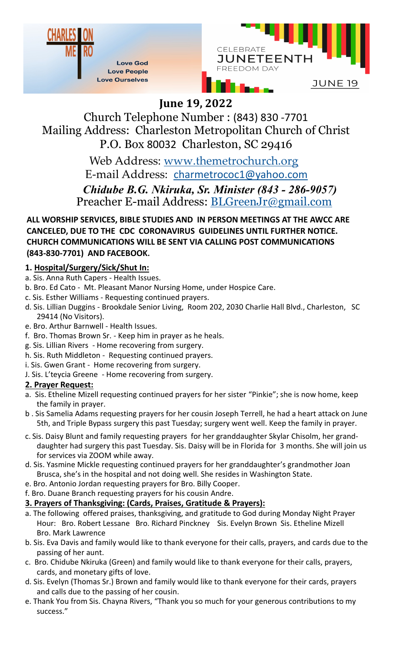



# **June 19, 2022**

Church Telephone Number : (843) 830 -7701 Mailing Address: Charleston Metropolitan Church of Christ P.O. Box 80032 Charleston, SC 29416

> *Chidube B.G. Nkiruka, Sr. Minister (843 - 286-9057)*  Preacher E-mail Address: BLGreenJr@gmail.com Web Address: www.themetrochurch.org E-mail Address: charmetrococ1@yahoo.com

**ALL WORSHIP SERVICES, BIBLE STUDIES AND IN PERSON MEETINGS AT THE AWCC ARE CANCELED, DUE TO THE CDC CORONAVIRUS GUIDELINES UNTIL FURTHER NOTICE. CHURCH COMMUNICATIONS WILL BE SENT VIA CALLING POST COMMUNICATIONS (843-830-7701) AND FACEBOOK.**

### **1. Hospital/Surgery/Sick/Shut In:**

- a. Sis. Anna Ruth Capers Health Issues.
- b. Bro. Ed Cato Mt. Pleasant Manor Nursing Home, under Hospice Care.
- c. Sis. Esther Williams Requesting continued prayers.
- d. Sis. Lillian Duggins Brookdale Senior Living, Room 202, 2030 Charlie Hall Blvd., Charleston, SC 29414 (No Visitors).
- e. Bro. Arthur Barnwell Health Issues.
- f. Bro. Thomas Brown Sr. Keep him in prayer as he heals.
- g. Sis. Lillian Rivers Home recovering from surgery.
- h. Sis. Ruth Middleton Requesting continued prayers.
- i. Sis. Gwen Grant Home recovering from surgery.
- J. Sis. L'teycia Greene Home recovering from surgery.

#### **2. Prayer Request:**

- a. Sis. Etheline Mizell requesting continued prayers for her sister "Pinkie"; she is now home, keep the family in prayer.
- b . Sis Samelia Adams requesting prayers for her cousin Joseph Terrell, he had a heart attack on June 5th, and Triple Bypass surgery this past Tuesday; surgery went well. Keep the family in prayer.
- c. Sis. Daisy Blunt and family requesting prayers for her granddaughter Skylar Chisolm, her granddaughter had surgery this past Tuesday. Sis. Daisy will be in Florida for 3 months. She will join us for services via ZOOM while away.
- d. Sis. Yasmine Mickle requesting continued prayers for her granddaughter's grandmother Joan Brusca, she's in the hospital and not doing well. She resides in Washington State.
- e. Bro. Antonio Jordan requesting prayers for Bro. Billy Cooper.
- f. Bro. Duane Branch requesting prayers for his cousin Andre.
- **3. Prayers of Thanksgiving: (Cards, Praises, Gratitude & Prayers):**
- a. The following offered praises, thanksgiving, and gratitude to God during Monday Night Prayer Hour: Bro. Robert Lessane Bro. Richard Pinckney Sis. Evelyn Brown Sis. Etheline Mizell Bro. Mark Lawrence
- b. Sis. Eva Davis and family would like to thank everyone for their calls, prayers, and cards due to the passing of her aunt.
- c. Bro. Chidube Nkiruka (Green) and family would like to thank everyone for their calls, prayers, cards, and monetary gifts of love.
- d. Sis. Evelyn (Thomas Sr.) Brown and family would like to thank everyone for their cards, prayers and calls due to the passing of her cousin.
- e. Thank You from Sis. Chayna Rivers, "Thank you so much for your generous contributions to my success."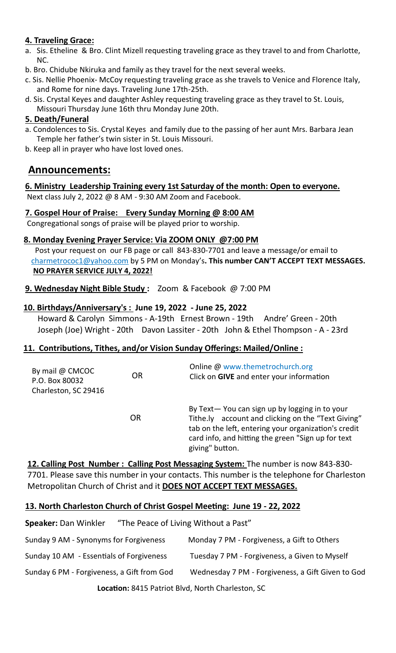#### **4. Traveling Grace:**

- a. Sis. Etheline & Bro. Clint Mizell requesting traveling grace as they travel to and from Charlotte, NC.
- b. Bro. Chidube Nkiruka and family as they travel for the next several weeks.
- c. Sis. Nellie Phoenix- McCoy requesting traveling grace as she travels to Venice and Florence Italy, and Rome for nine days. Traveling June 17th-25th.
- d. Sis. Crystal Keyes and daughter Ashley requesting traveling grace as they travel to St. Louis, Missouri Thursday June 16th thru Monday June 20th.

#### **5. Death/Funeral**

- a. Condolences to Sis. Crystal Keyes and family due to the passing of her aunt Mrs. Barbara Jean Temple her father's twin sister in St. Louis Missouri.
- b. Keep all in prayer who have lost loved ones.

## **Announcements:**

#### **6. Ministry Leadership Training every 1st Saturday of the month: Open to everyone.**

Next class July 2, 2022 @ 8 AM - 9:30 AM Zoom and Facebook.

#### **7. Gospel Hour of Praise: Every Sunday Morning @ 8:00 AM**

Congregational songs of praise will be played prior to worship.

#### **8. Monday Evening Prayer Service: Via ZOOM ONLY @7:00 PM**

 Post your request on our FB page or call 843-830-7701 and leave a message/or email to charmetrococ1@yahoo.com by 5 PM on Monday's**. This number CAN'T ACCEPT TEXT MESSAGES. NO PRAYER SERVICE JULY 4, 2022!**

**9. Wednesday Night Bible Study :** Zoom & Facebook @ 7:00 PM

#### **10. Birthdays/Anniversary's : June 19, 2022 - June 25, 2022**

 Howard & Carolyn Simmons - A-19th Ernest Brown - 19th Andre' Green - 20th Joseph (Joe) Wright - 20th Davon Lassiter - 20th John & Ethel Thompson - A - 23rd

#### **11. Contributions, Tithes, and/or Vision Sunday Offerings: Mailed/Online :**

| By mail @ CMCOC<br>P.O. Box 80032<br>Charleston, SC 29416 | <b>OR</b> | Online @ www.themetrochurch.org<br>Click on GIVE and enter your information                                                                                                                                                          |
|-----------------------------------------------------------|-----------|--------------------------------------------------------------------------------------------------------------------------------------------------------------------------------------------------------------------------------------|
|                                                           | OR        | By Text-You can sign up by logging in to your<br>Tithe.ly account and clicking on the "Text Giving"<br>tab on the left, entering your organization's credit<br>card info, and hitting the green "Sign up for text<br>giving" button. |

**12. Calling Post Number : Calling Post Messaging System:** The number is now 843-830- 7701. Please save this number in your contacts. This number is the telephone for Charleston Metropolitan Church of Christ and it **DOES NOT ACCEPT TEXT MESSAGES.**

#### **13. North Charleston Church of Christ Gospel Meeting: June 19 - 22, 2022**

| Speaker: Dan Winkler | "The Peace of Living Without a Past" |
|----------------------|--------------------------------------|
|                      |                                      |

| Sunday 9 AM - Synonyms for Forgiveness            | Monday 7 PM - Forgiveness, a Gift to Others       |  |  |  |
|---------------------------------------------------|---------------------------------------------------|--|--|--|
| Sunday 10 AM - Essentials of Forgiveness          | Tuesday 7 PM - Forgiveness, a Given to Myself     |  |  |  |
| Sunday 6 PM - Forgiveness, a Gift from God        | Wednesday 7 PM - Forgiveness, a Gift Given to God |  |  |  |
| Location: 8415 Patriot Blvd, North Charleston, SC |                                                   |  |  |  |